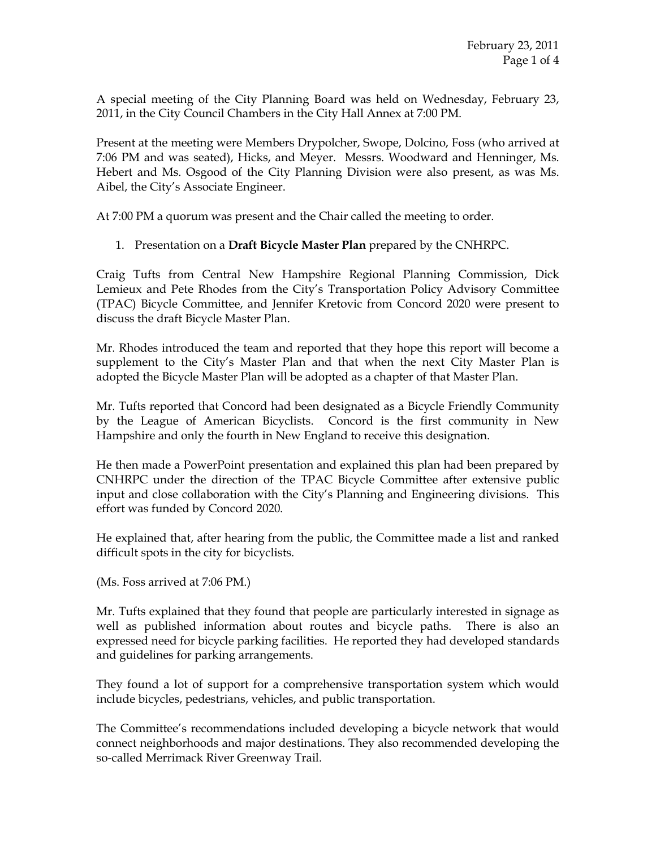A special meeting of the City Planning Board was held on Wednesday, February 23, 2011, in the City Council Chambers in the City Hall Annex at 7:00 PM.

Present at the meeting were Members Drypolcher, Swope, Dolcino, Foss (who arrived at 7:06 PM and was seated), Hicks, and Meyer. Messrs. Woodward and Henninger, Ms. Hebert and Ms. Osgood of the City Planning Division were also present, as was Ms. Aibel, the City's Associate Engineer.

At 7:00 PM a quorum was present and the Chair called the meeting to order.

1. Presentation on a Draft Bicycle Master Plan prepared by the CNHRPC.

Craig Tufts from Central New Hampshire Regional Planning Commission, Dick Lemieux and Pete Rhodes from the City's Transportation Policy Advisory Committee (TPAC) Bicycle Committee, and Jennifer Kretovic from Concord 2020 were present to discuss the draft Bicycle Master Plan.

Mr. Rhodes introduced the team and reported that they hope this report will become a supplement to the City's Master Plan and that when the next City Master Plan is adopted the Bicycle Master Plan will be adopted as a chapter of that Master Plan.

Mr. Tufts reported that Concord had been designated as a Bicycle Friendly Community by the League of American Bicyclists. Concord is the first community in New Hampshire and only the fourth in New England to receive this designation.

He then made a PowerPoint presentation and explained this plan had been prepared by CNHRPC under the direction of the TPAC Bicycle Committee after extensive public input and close collaboration with the City's Planning and Engineering divisions. This effort was funded by Concord 2020.

He explained that, after hearing from the public, the Committee made a list and ranked difficult spots in the city for bicyclists.

(Ms. Foss arrived at 7:06 PM.)

Mr. Tufts explained that they found that people are particularly interested in signage as well as published information about routes and bicycle paths. There is also an expressed need for bicycle parking facilities. He reported they had developed standards and guidelines for parking arrangements.

They found a lot of support for a comprehensive transportation system which would include bicycles, pedestrians, vehicles, and public transportation.

The Committee's recommendations included developing a bicycle network that would connect neighborhoods and major destinations. They also recommended developing the so-called Merrimack River Greenway Trail.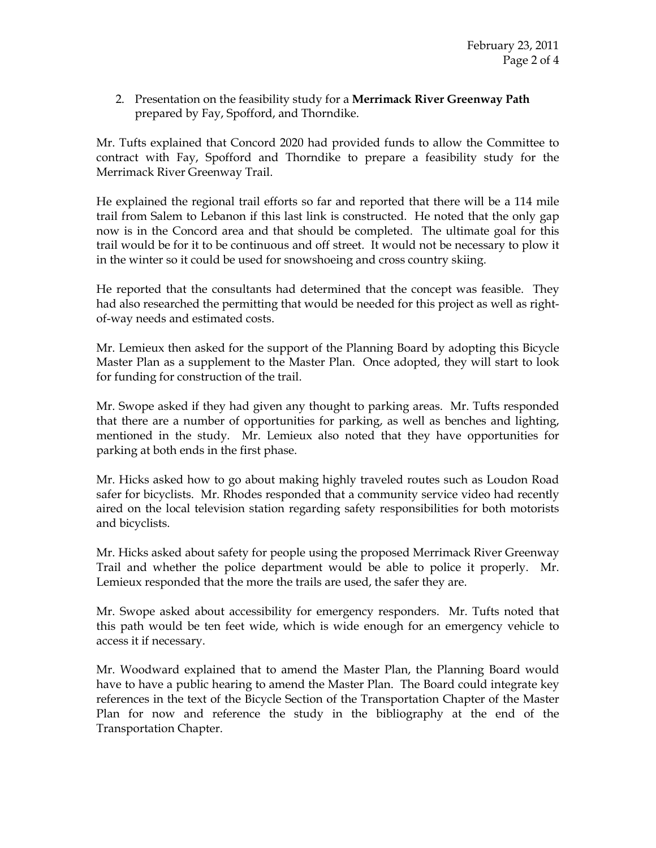2. Presentation on the feasibility study for a Merrimack River Greenway Path prepared by Fay, Spofford, and Thorndike.

Mr. Tufts explained that Concord 2020 had provided funds to allow the Committee to contract with Fay, Spofford and Thorndike to prepare a feasibility study for the Merrimack River Greenway Trail.

He explained the regional trail efforts so far and reported that there will be a 114 mile trail from Salem to Lebanon if this last link is constructed. He noted that the only gap now is in the Concord area and that should be completed. The ultimate goal for this trail would be for it to be continuous and off street. It would not be necessary to plow it in the winter so it could be used for snowshoeing and cross country skiing.

He reported that the consultants had determined that the concept was feasible. They had also researched the permitting that would be needed for this project as well as rightof-way needs and estimated costs.

Mr. Lemieux then asked for the support of the Planning Board by adopting this Bicycle Master Plan as a supplement to the Master Plan. Once adopted, they will start to look for funding for construction of the trail.

Mr. Swope asked if they had given any thought to parking areas. Mr. Tufts responded that there are a number of opportunities for parking, as well as benches and lighting, mentioned in the study. Mr. Lemieux also noted that they have opportunities for parking at both ends in the first phase.

Mr. Hicks asked how to go about making highly traveled routes such as Loudon Road safer for bicyclists. Mr. Rhodes responded that a community service video had recently aired on the local television station regarding safety responsibilities for both motorists and bicyclists.

Mr. Hicks asked about safety for people using the proposed Merrimack River Greenway Trail and whether the police department would be able to police it properly. Mr. Lemieux responded that the more the trails are used, the safer they are.

Mr. Swope asked about accessibility for emergency responders. Mr. Tufts noted that this path would be ten feet wide, which is wide enough for an emergency vehicle to access it if necessary.

Mr. Woodward explained that to amend the Master Plan, the Planning Board would have to have a public hearing to amend the Master Plan. The Board could integrate key references in the text of the Bicycle Section of the Transportation Chapter of the Master Plan for now and reference the study in the bibliography at the end of the Transportation Chapter.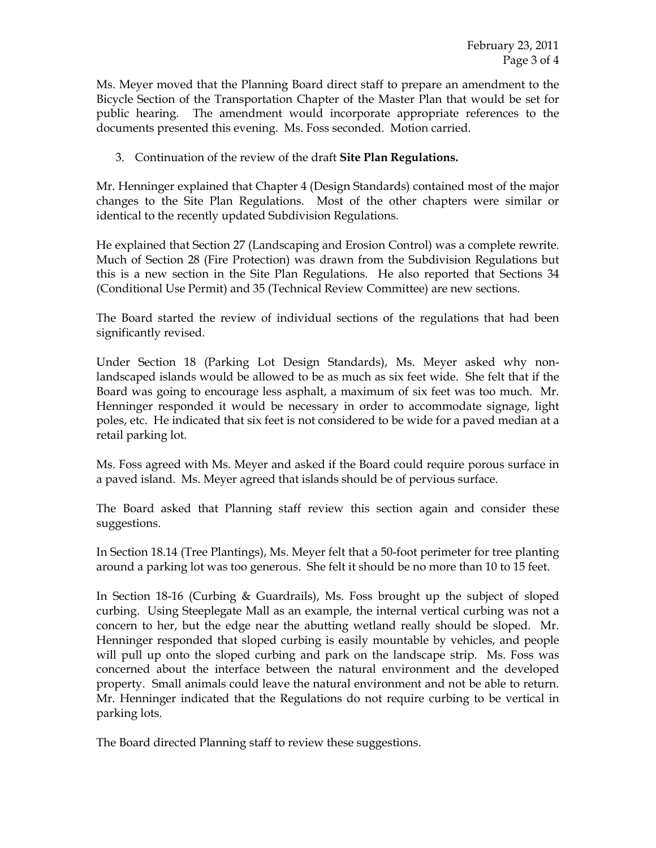Ms. Meyer moved that the Planning Board direct staff to prepare an amendment to the Bicycle Section of the Transportation Chapter of the Master Plan that would be set for public hearing. The amendment would incorporate appropriate references to the documents presented this evening. Ms. Foss seconded. Motion carried.

## 3. Continuation of the review of the draft Site Plan Regulations.

Mr. Henninger explained that Chapter 4 (Design Standards) contained most of the major changes to the Site Plan Regulations. Most of the other chapters were similar or identical to the recently updated Subdivision Regulations.

He explained that Section 27 (Landscaping and Erosion Control) was a complete rewrite. Much of Section 28 (Fire Protection) was drawn from the Subdivision Regulations but this is a new section in the Site Plan Regulations. He also reported that Sections 34 (Conditional Use Permit) and 35 (Technical Review Committee) are new sections.

The Board started the review of individual sections of the regulations that had been significantly revised.

Under Section 18 (Parking Lot Design Standards), Ms. Meyer asked why nonlandscaped islands would be allowed to be as much as six feet wide. She felt that if the Board was going to encourage less asphalt, a maximum of six feet was too much. Mr. Henninger responded it would be necessary in order to accommodate signage, light poles, etc. He indicated that six feet is not considered to be wide for a paved median at a retail parking lot.

Ms. Foss agreed with Ms. Meyer and asked if the Board could require porous surface in a paved island. Ms. Meyer agreed that islands should be of pervious surface.

The Board asked that Planning staff review this section again and consider these suggestions.

In Section 18.14 (Tree Plantings), Ms. Meyer felt that a 50-foot perimeter for tree planting around a parking lot was too generous. She felt it should be no more than 10 to 15 feet.

In Section 18-16 (Curbing & Guardrails), Ms. Foss brought up the subject of sloped curbing. Using Steeplegate Mall as an example, the internal vertical curbing was not a concern to her, but the edge near the abutting wetland really should be sloped. Mr. Henninger responded that sloped curbing is easily mountable by vehicles, and people will pull up onto the sloped curbing and park on the landscape strip. Ms. Foss was concerned about the interface between the natural environment and the developed property. Small animals could leave the natural environment and not be able to return. Mr. Henninger indicated that the Regulations do not require curbing to be vertical in parking lots.

The Board directed Planning staff to review these suggestions.